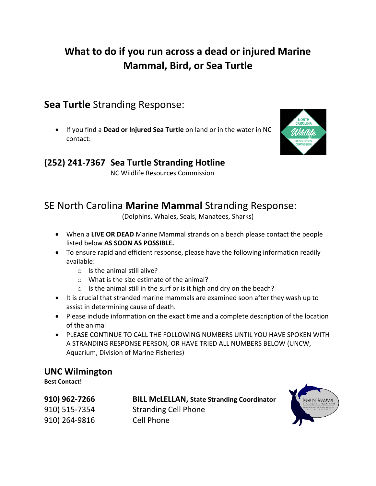# **What to do if you run across a dead or injured Marine Mammal, Bird, or Sea Turtle**

**Sea Turtle** Stranding Response:

• If you find a **Dead or Injured Sea Turtle** on land or in the water in NC contact:



#### **(252) 241-7367 Sea Turtle Stranding Hotline**

NC Wildlife Resources Commission

# SE North Carolina **Marine Mammal** Stranding Response:

(Dolphins, Whales, Seals, Manatees, Sharks)

- When a **LIVE OR DEAD** Marine Mammal strands on a beach please contact the people listed below **AS SOON AS POSSIBLE.**
- To ensure rapid and efficient response, please have the following information readily available:
	- o Is the animal still alive?
	- o What is the size estimate of the animal?
	- o Is the animal still in the surf or is it high and dry on the beach?
- It is crucial that stranded marine mammals are examined soon after they wash up to assist in determining cause of death.
- Please include information on the exact time and a complete description of the location of the animal
- PLEASE CONTINUE TO CALL THE FOLLOWING NUMBERS UNTIL YOU HAVE SPOKEN WITH A STRANDING RESPONSE PERSON, OR HAVE TRIED ALL NUMBERS BELOW (UNCW, Aquarium, Division of Marine Fisheries)

#### **UNC Wilmington**

**Best Contact!**

| 910) 962-7266 | <b>BILL McLELLAN, State Stranding Coordinator</b> |
|---------------|---------------------------------------------------|
| 910) 515-7354 | <b>Stranding Cell Phone</b>                       |
| 910) 264-9816 | Cell Phone                                        |
|               |                                                   |